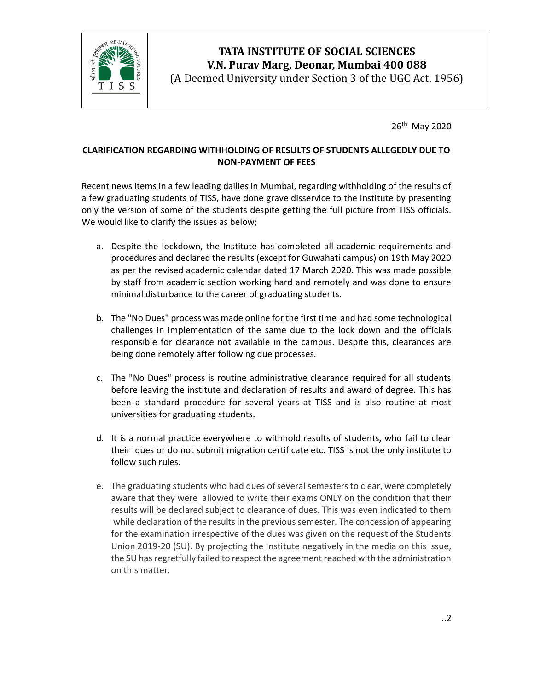

## TATA INSTITUTE OF SOCIAL SCIENCES V.N. Purav Marg, Deonar, Mumbai 400 088

(A Deemed University under Section 3 of the UGC Act, 1956)

26th May 2020

## CLARIFICATION REGARDING WITHHOLDING OF RESULTS OF STUDENTS ALLEGEDLY DUE TO NON-PAYMENT OF FEES

Recent news items in a few leading dailies in Mumbai, regarding withholding of the results of a few graduating students of TISS, have done grave disservice to the Institute by presenting only the version of some of the students despite getting the full picture from TISS officials. We would like to clarify the issues as below;

- a. Despite the lockdown, the Institute has completed all academic requirements and procedures and declared the results (except for Guwahati campus) on 19th May 2020 as per the revised academic calendar dated 17 March 2020. This was made possible by staff from academic section working hard and remotely and was done to ensure minimal disturbance to the career of graduating students.
- b. The "No Dues" process was made online for the first time and had some technological challenges in implementation of the same due to the lock down and the officials responsible for clearance not available in the campus. Despite this, clearances are being done remotely after following due processes.
- c. The "No Dues" process is routine administrative clearance required for all students before leaving the institute and declaration of results and award of degree. This has been a standard procedure for several years at TISS and is also routine at most universities for graduating students.
- d. It is a normal practice everywhere to withhold results of students, who fail to clear their dues or do not submit migration certificate etc. TISS is not the only institute to follow such rules.
- e. The graduating students who had dues of several semesters to clear, were completely aware that they were allowed to write their exams ONLY on the condition that their results will be declared subject to clearance of dues. This was even indicated to them while declaration of the results in the previous semester. The concession of appearing for the examination irrespective of the dues was given on the request of the Students Union 2019-20 (SU). By projecting the Institute negatively in the media on this issue, the SU has regretfully failed to respect the agreement reached with the administration on this matter.